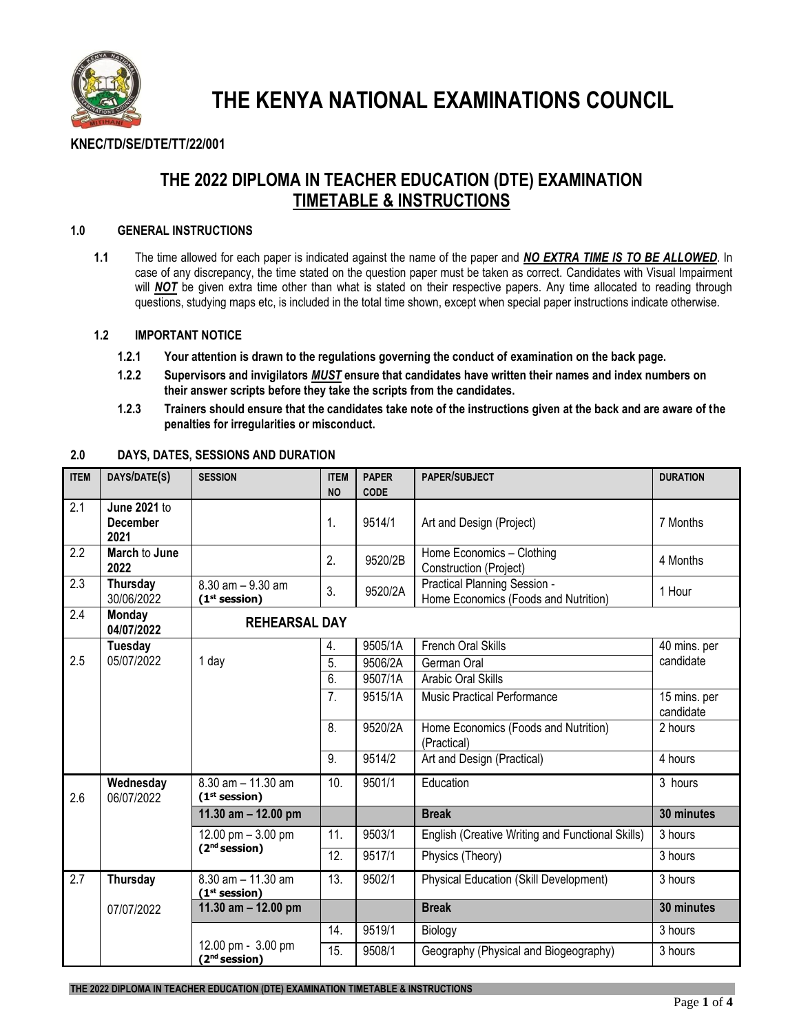

**THE KENYA NATIONAL EXAMINATIONS COUNCIL**

# **KNEC/TD/SE/DTE/TT/22/001**

# **THE 2022 DIPLOMA IN TEACHER EDUCATION (DTE) EXAMINATION TIMETABLE & INSTRUCTIONS**

# **1.0 GENERAL INSTRUCTIONS**

**1.1** The time allowed for each paper is indicated against the name of the paper and *NO EXTRA TIME IS TO BE ALLOWED*. In case of any discrepancy, the time stated on the question paper must be taken as correct. Candidates with Visual Impairment will **NOT** be given extra time other than what is stated on their respective papers. Any time allocated to reading through questions, studying maps etc, is included in the total time shown, except when special paper instructions indicate otherwise.

## **1.2 IMPORTANT NOTICE**

- **1.2.1 Your attention is drawn to the regulations governing the conduct of examination on the back page.**
- **1.2.2 Supervisors and invigilators** *MUST* **ensure that candidates have written their names and index numbers on their answer scripts before they take the scripts from the candidates.**
- **1.2.3 Trainers should ensure that the candidates take note of the instructions given at the back and are aware of the penalties for irregularities or misconduct.**

| <b>ITEM</b>      | DAYS/DATE(S)                                   | <b>SESSION</b>                                   | <b>ITEM</b> | <b>PAPER</b> | <b>PAPER/SUBJECT</b>                                                 | <b>DURATION</b>           |  |
|------------------|------------------------------------------------|--------------------------------------------------|-------------|--------------|----------------------------------------------------------------------|---------------------------|--|
|                  |                                                |                                                  | <b>NO</b>   | <b>CODE</b>  |                                                                      |                           |  |
| 2.1              | <b>June 2021 to</b><br><b>December</b><br>2021 |                                                  | 1.          | 9514/1       | Art and Design (Project)                                             | 7 Months                  |  |
| $\overline{2.2}$ | March to June<br>2022                          |                                                  | 2.          | 9520/2B      | Home Economics - Clothing<br>Construction (Project)                  | 4 Months                  |  |
| 2.3              | Thursday<br>30/06/2022                         | $8.30$ am $-9.30$ am<br>$(1st$ session)          | 3.          | 9520/2A      | Practical Planning Session -<br>Home Economics (Foods and Nutrition) | 1 Hour                    |  |
| 2.4              | <b>Monday</b><br>04/07/2022                    | <b>REHEARSAL DAY</b>                             |             |              |                                                                      |                           |  |
|                  | <b>Tuesday</b><br>05/07/2022                   | 1 day                                            | 4.          | 9505/1A      | <b>French Oral Skills</b>                                            | 40 mins. per<br>candidate |  |
| 2.5              |                                                |                                                  | 5.          | 9506/2A      | German Oral                                                          |                           |  |
|                  |                                                |                                                  | 6.          | 9507/1A      | Arabic Oral Skills                                                   |                           |  |
|                  |                                                |                                                  | 7.          | 9515/1A      | <b>Music Practical Performance</b>                                   | 15 mins. per<br>candidate |  |
|                  |                                                |                                                  | 8.          | 9520/2A      | Home Economics (Foods and Nutrition)<br>(Practical)                  | 2 hours                   |  |
|                  |                                                |                                                  | 9.          | 9514/2       | Art and Design (Practical)                                           | 4 hours                   |  |
| 2.6              | Wednesday<br>06/07/2022                        | 8.30 am - 11.30 am<br>$(1st$ session)            | 10.         | 9501/1       | Education                                                            | 3 hours                   |  |
|                  |                                                | 11.30 $am - 12.00 pm$                            |             |              | <b>Break</b>                                                         | 30 minutes                |  |
|                  |                                                | 12.00 pm $-3.00$ pm<br>(2 <sup>nd</sup> session) | 11.         | 9503/1       | English (Creative Writing and Functional Skills)                     | 3 hours                   |  |
|                  |                                                |                                                  | 12.         | 9517/1       | Physics (Theory)                                                     | 3 hours                   |  |
| 2.7              | <b>Thursday</b>                                | 8.30 am - 11.30 am<br>$(1st$ session)            | 13.         | 9502/1       | <b>Physical Education (Skill Development)</b>                        | 3 hours                   |  |
|                  | 07/07/2022                                     | 11.30 am $-$ 12.00 pm                            |             |              | <b>Break</b>                                                         | 30 minutes                |  |
|                  |                                                |                                                  | 14.         | 9519/1       | Biology                                                              | 3 hours                   |  |
|                  |                                                | 12.00 pm - 3.00 pm<br>(2 <sup>nd</sup> session)  | 15.         | 9508/1       | Geography (Physical and Biogeography)                                | 3 hours                   |  |

## **2.0 DAYS, DATES, SESSIONS AND DURATION**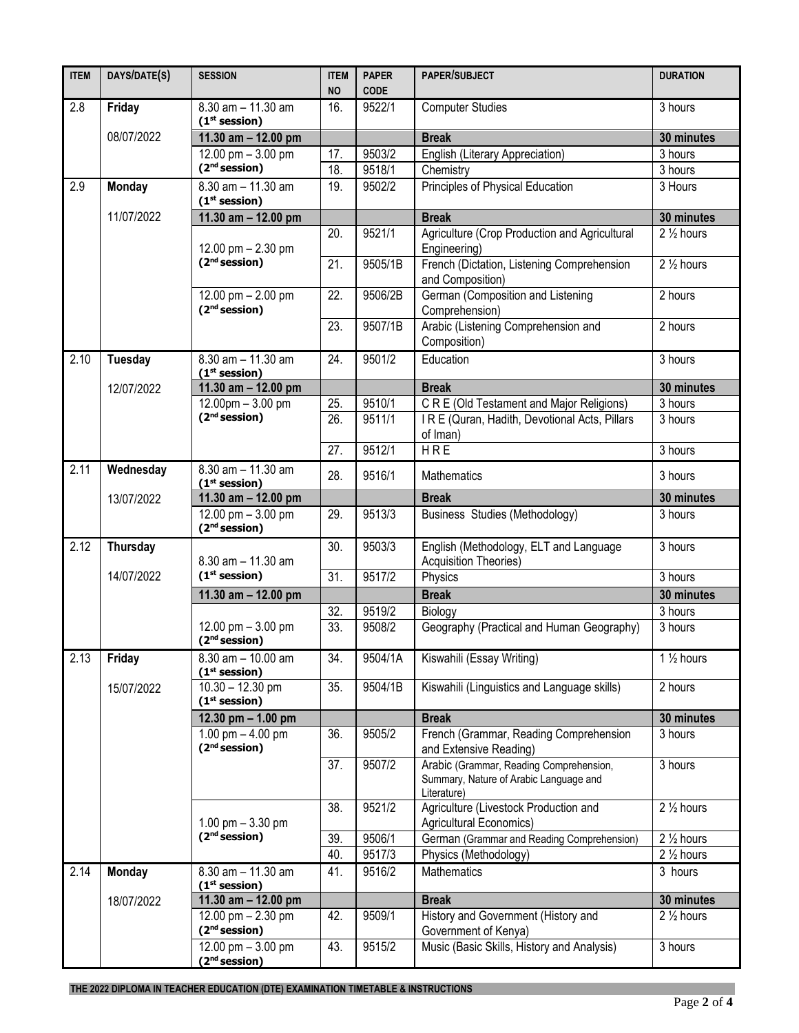| <b>ITEM</b> | DAYS/DATE(S)   | <b>SESSION</b>                                                    | <b>ITEM</b><br><b>NO</b> | <b>PAPER</b><br><b>CODE</b> | <b>PAPER/SUBJECT</b>                                                                             | <b>DURATION</b>       |
|-------------|----------------|-------------------------------------------------------------------|--------------------------|-----------------------------|--------------------------------------------------------------------------------------------------|-----------------------|
| 2.8         | Friday         | 8.30 am - 11.30 am<br>(1 <sup>st</sup> session)                   | 16.                      | 9522/1                      | <b>Computer Studies</b>                                                                          | 3 hours               |
|             | 08/07/2022     | $11.30$ am - 12.00 pm                                             |                          |                             | <b>Break</b>                                                                                     | 30 minutes            |
|             |                | 12.00 pm $-3.00$ pm                                               | 17.                      | 9503/2                      | English (Literary Appreciation)                                                                  | 3 hours               |
|             |                | (2 <sup>nd</sup> session)                                         | 18.                      | 9518/1                      | Chemistry                                                                                        | 3 hours               |
| 2.9         | <b>Monday</b>  | $8.30$ am $- 11.30$ am<br>(1 <sup>st</sup> session)               | 19.                      | 9502/2                      | Principles of Physical Education                                                                 | 3 Hours               |
|             | 11/07/2022     | 11.30 $am - 12.00 pm$                                             |                          |                             | <b>Break</b>                                                                                     | 30 minutes            |
|             |                | 12.00 pm $- 2.30$ pm                                              | 20.                      | 9521/1                      | Agriculture (Crop Production and Agricultural<br>Engineering)                                    | $2\frac{1}{2}$ hours  |
|             |                | (2 <sup>nd</sup> session)                                         | $\overline{21}$          | 9505/1B                     | French (Dictation, Listening Comprehension<br>and Composition)                                   | $2\frac{1}{2}$ hours  |
|             |                | 12.00 pm $- 2.00$ pm<br>(2 <sup>nd</sup> session)                 | 22.                      | 9506/2B                     | German (Composition and Listening<br>Comprehension)                                              | 2 hours               |
|             |                |                                                                   | 23.                      | 9507/1B                     | Arabic (Listening Comprehension and<br>Composition)                                              | 2 hours               |
| 2.10        | <b>Tuesday</b> | 8.30 am - 11.30 am<br>(1 <sup>st</sup> session)                   | 24.                      | 9501/2                      | Education                                                                                        | 3 hours               |
|             | 12/07/2022     | 11.30 am - 12.00 pm                                               |                          |                             | <b>Break</b>                                                                                     | 30 minutes            |
|             |                | $12.00 \text{pm} - 3.00 \text{pm}$                                | 25.                      | 9510/1                      | C R E (Old Testament and Major Religions)                                                        | 3 hours               |
|             |                | (2 <sup>nd</sup> session)                                         | 26.                      | 9511/1                      | IRE (Quran, Hadith, Devotional Acts, Pillars<br>of Iman)                                         | 3 hours               |
|             |                |                                                                   | 27.                      | 9512/1                      | HRE                                                                                              | 3 hours               |
| 2.11        | Wednesday      | 8.30 am - 11.30 am<br>(1 <sup>st</sup> session)                   | 28.                      | 9516/1                      | <b>Mathematics</b>                                                                               | 3 hours               |
|             | 13/07/2022     | 11.30 $am - 12.00 pm$                                             |                          |                             | <b>Break</b>                                                                                     | 30 minutes            |
|             |                | 12.00 pm $-3.00$ pm<br>(2 <sup>nd</sup> session)                  | 29.                      | 9513/3                      | <b>Business Studies (Methodology)</b>                                                            | 3 hours               |
| 2.12        | Thursday       | $8.30$ am $-11.30$ am                                             | 30.                      | 9503/3                      | English (Methodology, ELT and Language<br><b>Acquisition Theories)</b>                           | 3 hours               |
|             | 14/07/2022     | (1 <sup>st</sup> session)                                         | 31.                      | 9517/2                      | Physics                                                                                          | $\overline{3}$ hours  |
|             |                | 11.30 $am - 12.00 pm$                                             |                          |                             | <b>Break</b>                                                                                     | 30 minutes            |
|             |                |                                                                   | 32.                      | 9519/2                      | Biology                                                                                          | 3 hours               |
|             |                | 12.00 pm $-3.00$ pm<br>(2 <sup>nd</sup> session)                  | 33.                      | 9508/2                      | Geography (Practical and Human Geography)                                                        | 3 hours               |
| 2.13        | Friday         | 8.30 am - 10.00 am<br>$(1st$ session)                             | 34.                      | 9504/1A                     | Kiswahili (Essay Writing)                                                                        | 1 $\frac{1}{2}$ hours |
|             | 15/07/2022     | $10.30 - 12.30$ pm<br>(1 <sup>st</sup> session)                   | 35.                      | 9504/1B                     | Kiswahili (Linguistics and Language skills)                                                      | 2 hours               |
|             |                | 12.30 pm $- 1.00$ pm                                              |                          |                             | <b>Break</b>                                                                                     | 30 minutes            |
|             |                | 1.00 pm $-$ 4.00 pm<br>(2 <sup>nd</sup> session)                  | 36.                      | 9505/2                      | French (Grammar, Reading Comprehension<br>and Extensive Reading)                                 | 3 hours               |
|             |                |                                                                   | 37.                      | 9507/2                      | Arabic (Grammar, Reading Comprehension,<br>Summary, Nature of Arabic Language and<br>Literature) | 3 hours               |
|             |                | 1.00 pm $-3.30$ pm                                                | 38.                      | 9521/2                      | Agriculture (Livestock Production and<br>Agricultural Economics)                                 | $2\frac{1}{2}$ hours  |
|             |                | (2 <sup>nd</sup> session)                                         | 39.                      | 9506/1                      | German (Grammar and Reading Comprehension)                                                       | $2\frac{1}{2}$ hours  |
|             |                |                                                                   | 40.                      | 9517/3                      | Physics (Methodology)                                                                            | 2 1/2 hours           |
| 2.14        | <b>Monday</b>  | $8.30$ am $- 11.30$ am<br>(1 <sup>st</sup> session)               | 41.                      | 9516/2                      | Mathematics                                                                                      | 3 hours               |
|             | 18/07/2022     | 11.30 am $-$ 12.00 pm                                             |                          |                             | <b>Break</b>                                                                                     | 30 minutes            |
|             |                | 12.00 pm $- 2.30$ pm<br>(2 <sup>nd</sup> session)                 | 42.                      | 9509/1                      | History and Government (History and<br>Government of Kenya)                                      | $2\frac{1}{2}$ hours  |
|             |                | $12.00 \text{ pm} - 3.00 \text{ pm}$<br>(2 <sup>nd</sup> session) | 43.                      | 9515/2                      | Music (Basic Skills, History and Analysis)                                                       | 3 hours               |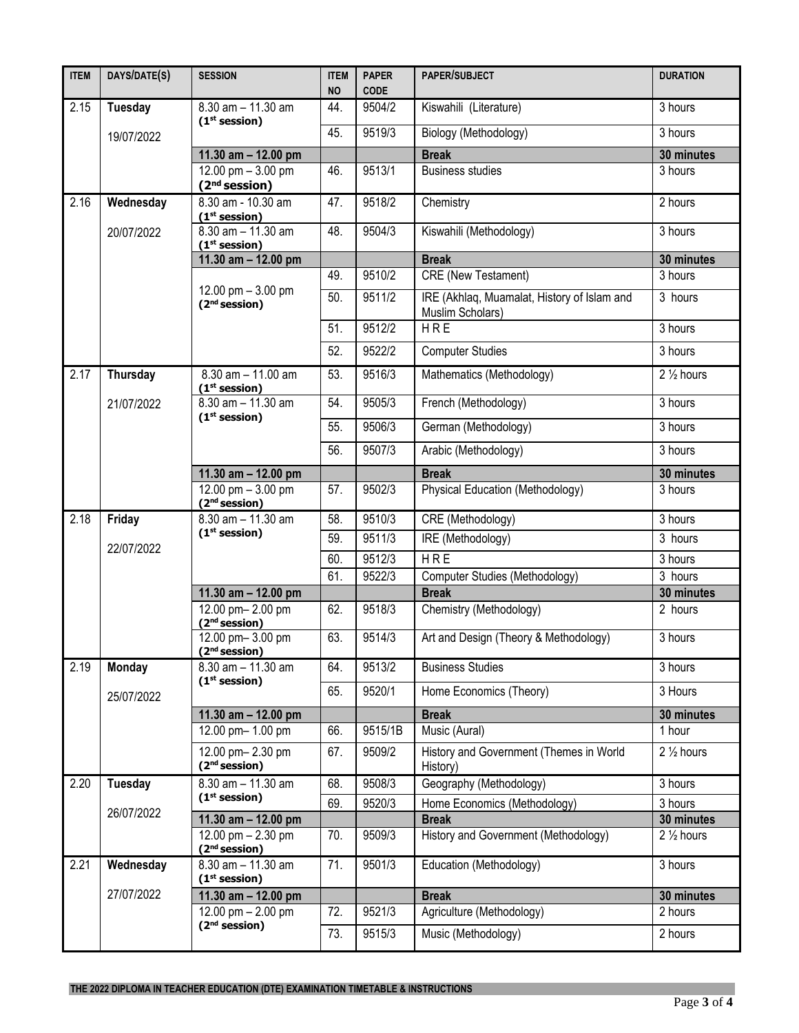| <b>ITEM</b> | DAYS/DATE(S)    | <b>SESSION</b>                                      | <b>ITEM</b><br><b>NO</b> | <b>PAPER</b><br><b>CODE</b> | PAPER/SUBJECT                                                   | <b>DURATION</b>      |
|-------------|-----------------|-----------------------------------------------------|--------------------------|-----------------------------|-----------------------------------------------------------------|----------------------|
| 2.15        | Tuesday         | $8.30$ am $- 11.30$ am<br>(1 <sup>st</sup> session) | 44.                      | 9504/2                      | Kiswahili (Literature)                                          | 3 hours              |
|             | 19/07/2022      |                                                     | 45.                      | 9519/3                      | Biology (Methodology)                                           | 3 hours              |
|             |                 | 11.30 $am - 12.00 pm$                               |                          |                             | <b>Break</b>                                                    | 30 minutes           |
|             |                 | 12.00 pm $-3.00$ pm<br>(2 <sup>nd</sup> session)    | 46.                      | 9513/1                      | <b>Business studies</b>                                         | 3 hours              |
| 2.16        | Wednesday       | 8.30 am - 10.30 am<br>(1 <sup>st</sup> session)     | 47.                      | 9518/2                      | Chemistry                                                       | 2 hours              |
|             | 20/07/2022      | 8.30 am - 11.30 am<br>$(1st$ session)               | 48.                      | 9504/3                      | Kiswahili (Methodology)                                         | 3 hours              |
|             |                 | 11.30 am - 12.00 pm                                 |                          |                             | <b>Break</b>                                                    | 30 minutes           |
|             |                 | 12.00 pm $-3.00$ pm<br>(2 <sup>nd</sup> session)    | 49.                      | 9510/2                      | CRE (New Testament)                                             | 3 hours              |
|             |                 |                                                     | 50.                      | 9511/2                      | IRE (Akhlaq, Muamalat, History of Islam and<br>Muslim Scholars) | 3 hours              |
|             |                 |                                                     | 51.                      | 9512/2                      | HRE                                                             | 3 hours              |
|             |                 |                                                     | 52.                      | 9522/2                      | <b>Computer Studies</b>                                         | 3 hours              |
| 2.17        | <b>Thursday</b> | 8.30 am - 11.00 am<br>(1 <sup>st</sup> session)     | 53.                      | 9516/3                      | Mathematics (Methodology)                                       | $2\frac{1}{2}$ hours |
|             | 21/07/2022      | $8.30$ am $- 11.30$ am                              | 54.                      | 9505/3                      | French (Methodology)                                            | 3 hours              |
|             |                 | (1 <sup>st</sup> session)                           | 55.                      | 9506/3                      | German (Methodology)                                            | 3 hours              |
|             |                 |                                                     | 56.                      | 9507/3                      | Arabic (Methodology)                                            | 3 hours              |
|             |                 | 11.30 am - 12.00 pm                                 |                          |                             | <b>Break</b>                                                    | 30 minutes           |
|             |                 | 12.00 pm $-3.00$ pm<br>(2 <sup>nd</sup> session)    | 57.                      | 9502/3                      | Physical Education (Methodology)                                | 3 hours              |
| 2.18        | Friday          | $8.30$ am $- 11.30$ am                              | 58.                      | 9510/3                      | CRE (Methodology)                                               | 3 hours              |
|             | 22/07/2022      | (1 <sup>st</sup> session)                           | 59.                      | 9511/3                      | IRE (Methodology)                                               | 3 hours              |
|             |                 |                                                     | 60.                      | 9512/3                      | HRE                                                             | 3 hours              |
|             |                 |                                                     | 61.                      | 9522/3                      | Computer Studies (Methodology)                                  | 3 hours              |
|             |                 | 11.30 $am - 12.00 pm$                               |                          |                             | <b>Break</b>                                                    | 30 minutes           |
|             |                 | 12.00 pm-2.00 pm<br>(2 <sup>nd</sup> session)       | 62.                      | 9518/3                      | Chemistry (Methodology)                                         | 2 hours              |
|             |                 | 12.00 pm-3.00 pm<br>(2 <sup>nd</sup> session)       | 63.                      | 9514/3                      | Art and Design (Theory & Methodology)                           | 3 hours              |
| 2.19        | <b>Monday</b>   | 8.30 am - 11.30 am                                  | 64.                      | 9513/2                      | <b>Business Studies</b>                                         | 3 hours              |
|             | 25/07/2022      | (1 <sup>st</sup> session)                           | 65.                      | 9520/1                      | Home Economics (Theory)                                         | 3 Hours              |
|             |                 | 11.30 $am - 12.00 pm$                               |                          |                             | <b>Break</b>                                                    | 30 minutes           |
|             |                 | 12.00 pm- 1.00 pm                                   | 66.                      | 9515/1B                     | Music (Aural)                                                   | 1 hour               |
|             |                 | 12.00 pm-2.30 pm<br>(2 <sup>nd</sup> session)       | 67.                      | 9509/2                      | History and Government (Themes in World<br>History)             | $2\frac{1}{2}$ hours |
| 2.20        | <b>Tuesday</b>  | $8.30$ am $- 11.30$ am                              | 68.                      | 9508/3                      | Geography (Methodology)                                         | 3 hours              |
|             |                 | (1 <sup>st</sup> session)                           | 69.                      | 9520/3                      | Home Economics (Methodology)                                    | 3 hours              |
|             | 26/07/2022      | 11.30 $am - 12.00 pm$                               |                          |                             | <b>Break</b>                                                    | 30 minutes           |
|             |                 | 12.00 pm $- 2.30$ pm<br>(2 <sup>nd</sup> session)   | 70.                      | 9509/3                      | History and Government (Methodology)                            | $2\frac{1}{2}$ hours |
| 2.21        | Wednesday       | 8.30 am - 11.30 am<br>(1 <sup>st</sup> session)     | 71.                      | 9501/3                      | Education (Methodology)                                         | 3 hours              |
|             | 27/07/2022      | 11.30 $am - 12.00 pm$                               |                          |                             | <b>Break</b>                                                    | 30 minutes           |
|             |                 | 12.00 pm $- 2.00$ pm<br>(2 <sup>nd</sup> session)   | 72.                      | 9521/3                      | Agriculture (Methodology)                                       | 2 hours              |
|             |                 |                                                     | 73.                      | 9515/3                      | Music (Methodology)                                             | 2 hours              |